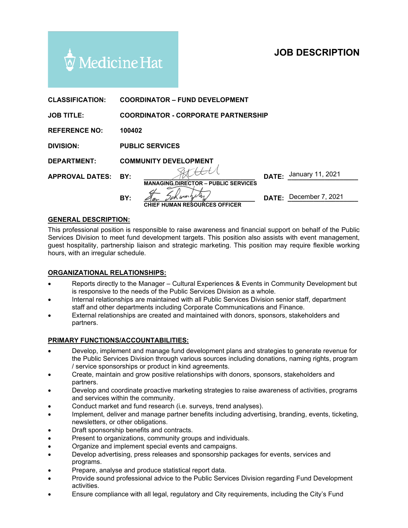# **JOB DESCRIPTION**



| <b>CLASSIFICATION:</b> |                                            | <b>COORDINATOR - FUND DEVELOPMENT</b>                |       |                        |
|------------------------|--------------------------------------------|------------------------------------------------------|-------|------------------------|
| <b>JOB TITLE:</b>      | <b>COORDINATOR - CORPORATE PARTNERSHIP</b> |                                                      |       |                        |
| <b>REFERENCE NO:</b>   | 100402                                     |                                                      |       |                        |
| <b>DIVISION:</b>       | <b>PUBLIC SERVICES</b>                     |                                                      |       |                        |
| <b>DEPARTMENT:</b>     | <b>COMMUNITY DEVELOPMENT</b>               |                                                      |       |                        |
| <b>APPROVAL DATES:</b> | BY:                                        |                                                      | DATE: | January 11, 2021       |
|                        | BY:                                        | <b>MANAGING DIRECTOR - PUBLIC SERVICES</b><br>K warn |       | DATE: December 7, 2021 |
|                        |                                            | <b>CHIEF HUMAN RESOURCES OFFICER</b>                 |       |                        |

## **GENERAL DESCRIPTION:**

This professional position is responsible to raise awareness and financial support on behalf of the Public Services Division to meet fund development targets. This position also assists with event management, guest hospitality, partnership liaison and strategic marketing. This position may require flexible working hours, with an irregular schedule.

#### **ORGANIZATIONAL RELATIONSHIPS:**

- Reports directly to the Manager Cultural Experiences & Events in Community Development but is responsive to the needs of the Public Services Division as a whole.
- Internal relationships are maintained with all Public Services Division senior staff, department staff and other departments including Corporate Communications and Finance.
- External relationships are created and maintained with donors, sponsors, stakeholders and partners.

#### **PRIMARY FUNCTIONS/ACCOUNTABILITIES:**

- Develop, implement and manage fund development plans and strategies to generate revenue for the Public Services Division through various sources including donations, naming rights, program / service sponsorships or product in kind agreements.
- Create, maintain and grow positive relationships with donors, sponsors, stakeholders and partners.
- Develop and coordinate proactive marketing strategies to raise awareness of activities, programs and services within the community.
- Conduct market and fund research (i.e. surveys, trend analyses).
- Implement, deliver and manage partner benefits including advertising, branding, events, ticketing, newsletters, or other obligations.
- Draft sponsorship benefits and contracts.
- Present to organizations, community groups and individuals.
- Organize and implement special events and campaigns.
- Develop advertising, press releases and sponsorship packages for events, services and programs.
- Prepare, analyse and produce statistical report data.
- Provide sound professional advice to the Public Services Division regarding Fund Development activities.
- Ensure compliance with all legal, regulatory and City requirements, including the City's Fund